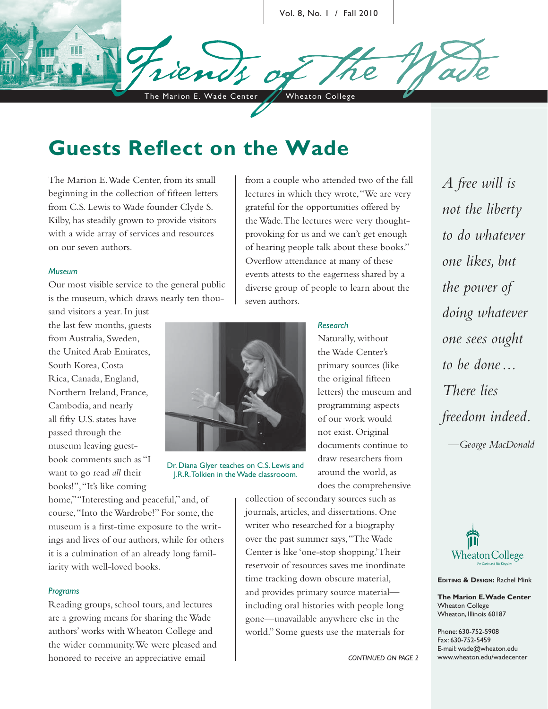Vol. 8, No. 1 / Fall 2010

The Marion E. Wade Center / Wheaton College

# **Guests Reflect on the Wade**

The Marion E. Wade Center, from its small beginning in the collection of fifteen letters from C.S. Lewis to Wade founder Clyde S. Kilby, has steadily grown to provide visitors with a wide array of services and resources on our seven authors.

#### *Museum*

Our most visible service to the general public is the museum, which draws nearly ten thou-

sand visitors a year. In just the last few months, guests from Australia, Sweden, the United Arab Emirates, South Korea, Costa Rica, Canada, England, Northern Ireland, France, Cambodia, and nearly all fifty U.S. states have passed through the museum leaving guestbook comments such as "I want to go read *all* their books!", "It's like coming



Dr. Diana Glyer teaches on C.S. Lewis and J.R.R. Tolkien in the Wade classrooom.

home," "Interesting and peaceful," and, of course, "Into the Wardrobe!" For some, the museum is a first-time exposure to the writings and lives of our authors, while for others it is a culmination of an already long familiarity with well-loved books.

#### *Programs*

Reading groups, school tours, and lectures are a growing means for sharing the Wade authors' works with Wheaton College and the wider community. We were pleased and honored to receive an appreciative email

from a couple who attended two of the fall lectures in which they wrote, "We are very grateful for the opportunities offered by the Wade. The lectures were very thoughtprovoking for us and we can't get enough of hearing people talk about these books." Overflow attendance at many of these events attests to the eagerness shared by a diverse group of people to learn about the seven authors.

### *Research*

Naturally, without the Wade Center's primary sources (like the original fifteen letters) the museum and programming aspects of our work would not exist. Original documents continue to draw researchers from around the world, as does the comprehensive

collection of secondary sources such as journals, articles, and dissertations. One writer who researched for a biography over the past summer says, "The Wade Center is like 'one-stop shopping.' Their reservoir of resources saves me inordinate time tracking down obscure material, and provides primary source material including oral histories with people long gone—unavailable anywhere else in the world." Some guests use the materials for

*A free will is not the liberty to do whatever one likes, but the power of doing whatever one sees ought to be done ... There lies freedom indeed. —George MacDonald*



**EDITING & DESIGN:** Rachel Mink

**The Marion E. Wade Center** Wheaton College Wheaton, Illinois 60187

Phone: 630-752-5908 Fax: 630-752-5459 E-mail: wade@wheaton.edu www.wheaton.edu/wadecenter

*CONTINUED ON PAGE 2*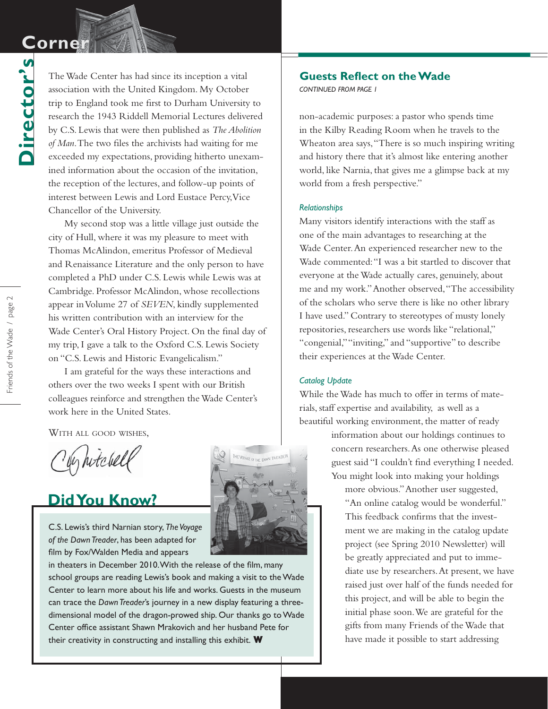# **Corner Corner**

**Director's**

Director's

The Wade Center has had since its inception a vital association with the United Kingdom. My October trip to England took me first to Durham University to research the 1943 Riddell Memorial Lectures delivered by C.S. Lewis that were then published as *The Abolition*  of Man. The two files the archivists had waiting for me exceeded my expectations, providing hitherto unexamined information about the occasion of the invitation, the reception of the lectures, and follow-up points of interest between Lewis and Lord Eustace Percy, Vice Chancellor of the University.

My second stop was a little village just outside the city of Hull, where it was my pleasure to meet with Thomas McAlindon, emeritus Professor of Medieval and Renaissance Literature and the only person to have completed a PhD under C.S. Lewis while Lewis was at Cambridge. Professor McAlindon, whose recollections appear in Volume 27 of *SEVEN*, kindly supplemented his written contribution with an interview for the Wade Center's Oral History Project. On the final day of my trip, I gave a talk to the Oxford C.S. Lewis Society on "C.S. Lewis and Historic Evangelicalism."

I am grateful for the ways these interactions and others over the two weeks I spent with our British colleagues reinforce and strengthen the Wade Center's work here in the United States.

WITH ALL GOOD WISHES.

ly hitchell

## **Did You Know?**

C.S. Lewis's third Narnian story, *The Voyage of the Dawn Treader*, has been adapted for film by Fox/Walden Media and appears

in theaters in December 2010. With the release of the film, many school groups are reading Lewis's book and making a visit to the Wade Center to learn more about his life and works. Guests in the museum can trace the *Dawn Treader*'s journey in a new display featuring a threedimensional model of the dragon-prowed ship. Our thanks go to Wade Center office assistant Shawn Mrakovich and her husband Pete for their creativity in constructing and installing this exhibit. **W**

### **Guests Reflect on the Wade**

*CONTINUED FROM PAGE 1*

non-academic purposes: a pastor who spends time in the Kilby Reading Room when he travels to the Wheaton area says, "There is so much inspiring writing and history there that it's almost like entering another world, like Narnia, that gives me a glimpse back at my world from a fresh perspective."

#### *Relationships*

Many visitors identify interactions with the staff as one of the main advantages to researching at the Wade Center. An experienced researcher new to the Wade commented: "I was a bit startled to discover that everyone at the Wade actually cares, genuinely, about me and my work." Another observed, "The accessibility of the scholars who serve there is like no other library I have used." Contrary to stereotypes of musty lonely repositories, researchers use words like "relational," "congenial," "inviting," and "supportive" to describe their experiences at the Wade Center.

#### *Catalog Update*

While the Wade has much to offer in terms of materials, staff expertise and availability, as well as a beautiful working environment, the matter of ready

> information about our holdings continues to concern researchers. As one otherwise pleased guest said "I couldn't find everything I needed. You might look into making your holdings

more obvious." Another user suggested, "An online catalog would be wonderful." This feedback confirms that the investment we are making in the catalog update project (see Spring 2010 Newsletter) will be greatly appreciated and put to immediate use by researchers. At present, we have raised just over half of the funds needed for this project, and will be able to begin the initial phase soon. We are grateful for the gifts from many Friends of the Wade that have made it possible to start addressing

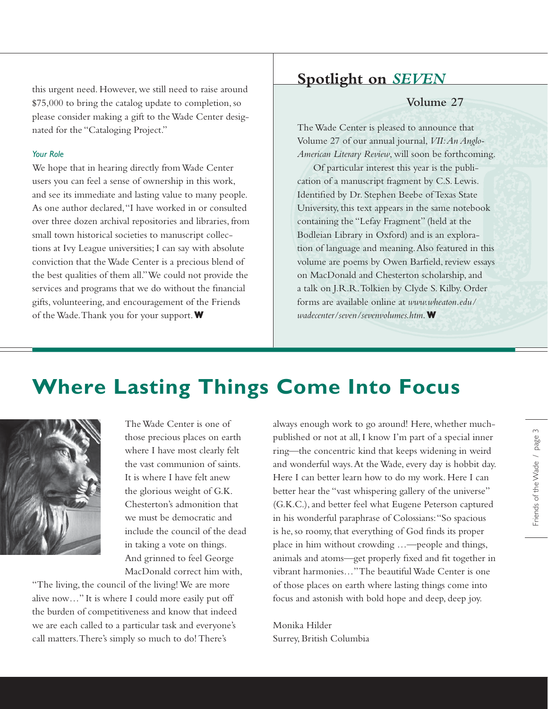this urgent need. However, we still need to raise around \$75,000 to bring the catalog update to completion, so please consider making a gift to the Wade Center designated for the "Cataloging Project."

#### *Your Role*

We hope that in hearing directly from Wade Center users you can feel a sense of ownership in this work, and see its immediate and lasting value to many people. As one author declared, "I have worked in or consulted over three dozen archival repositories and libraries, from small town historical societies to manuscript collections at Ivy League universities; I can say with absolute conviction that the Wade Center is a precious blend of the best qualities of them all." We could not provide the services and programs that we do without the financial gifts, volunteering, and encouragement of the Friends of the Wade. Thank you for your support. **W**

## **Spotlight on** *SEVEN*

## **Volume 27**

The Wade Center is pleased to announce that Volume 27 of our annual journal, *VII: An Anglo-American Literary Review*, will soon be forthcoming.

Of particular interest this year is the publication of a manuscript fragment by C.S. Lewis. Identified by Dr. Stephen Beebe of Texas State University, this text appears in the same notebook containing the "Lefay Fragment" (held at the Bodleian Library in Oxford) and is an exploration of language and meaning. Also featured in this volume are poems by Owen Barfield, review essays on MacDonald and Chesterton scholarship, and a talk on J.R.R. Tolkien by Clyde S. Kilby. Order forms are available online at *www.wheaton.edu/ wadecenter/seven/sevenvolumes.htm*.**W**

# **Where Lasting Things Come Into Focus**



The Wade Center is one of those precious places on earth where I have most clearly felt the vast communion of saints. It is where I have felt anew the glorious weight of G.K. Chesterton's admonition that we must be democratic and include the council of the dead in taking a vote on things. And grinned to feel George MacDonald correct him with,

"The living, the council of the living! We are more alive now…" It is where I could more easily put off the burden of competitiveness and know that indeed we are each called to a particular task and everyone's call matters. There's simply so much to do! There's

always enough work to go around! Here, whether muchpublished or not at all, I know I'm part of a special inner ring—the concentric kind that keeps widening in weird and wonderful ways. At the Wade, every day is hobbit day. Here I can better learn how to do my work. Here I can better hear the "vast whispering gallery of the universe" (G.K.C.), and better feel what Eugene Peterson captured in his wonderful paraphrase of Colossians: "So spacious is he, so roomy, that everything of God finds its proper place in him without crowding …—people and things, animals and atoms-get properly fixed and fit together in vibrant harmonies…" The beautiful Wade Center is one of those places on earth where lasting things come into focus and astonish with bold hope and deep, deep joy.

Monika Hilder Surrey, British Columbia